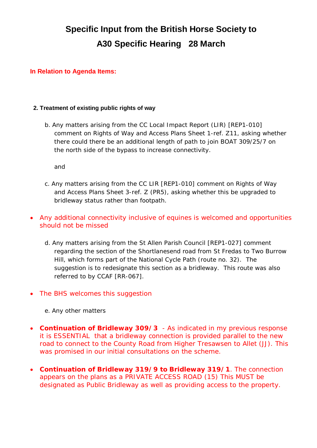# **Specific Input from the British Horse Society to A30 Specific Hearing 28 March**

## **In Relation to Agenda Items:**

#### **2. Treatment of existing public rights of way**

*b. Any matters arising from the CC Local Impact Report (LIR) [REP1-010] comment on Rights of Way and Access Plans Sheet 1-ref. Z11, asking whether there could there be an additional length of path to join BOAT 309/25/7 on the north side of the bypass to increase connectivity*.

and

- *c. Any matters arising from the CC LIR [REP1-010] comment on Rights of Way and Access Plans Sheet 3-ref. Z (PR5), asking whether this be upgraded to bridleway status rather than footpath.*
- Any additional connectivity inclusive of equines is welcomed and opportunities should not be missed
	- *d. Any matters arising from the St Allen Parish Council [REP1-027] comment regarding the section of the Shortlanesend road from St Fredas to Two Burrow Hill, which forms part of the National Cycle Path (route no. 32). The suggestion is to redesignate this section as a bridleway. This route was also referred to by CCAF [RR-067].*
- The BHS welcomes this suggestion

#### *e. Any other matters*

- Continuation of Bridleway 309/3 As indicated in my previous response it is ESSENTIAL that a bridleway connection is provided parallel to the new road to connect to the County Road from Higher Tresawsen to Allet (JJ). This was promised in our initial consultations on the scheme.
- x **Continuation of Bridleway 319/9 to Bridleway 319/1**. The connection appears on the plans as a PRIVATE ACCESS ROAD (15) This MUST be designated as Public Bridleway as well as providing access to the property.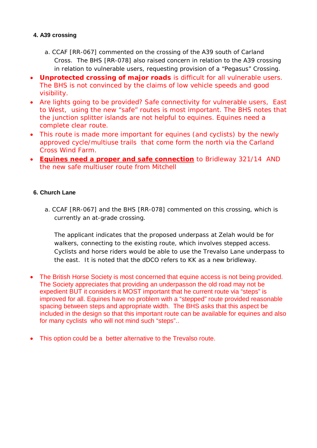# **4. A39 crossing**

- *a. CCAF [RR-067] commented on the crossing of the A39 south of Carland Cross. The BHS [RR-078] also raised concern in relation to the A39 crossing in relation to vulnerable users, requesting provision of a "Pegasus" Crossing.*
- **Unprotected crossing of major roads is difficult for all vulnerable users.** The BHS is not convinced by the claims of low vehicle speeds and good visibility.
- Are lights going to be provided? Safe connectivity for vulnerable users, East to West, using the new "safe" routes is most important. The BHS notes that the junction splitter islands are not helpful to equines. Equines need a complete clear route.
- This route is made more important for equines (and cyclists) by the newly approved cycle/multiuse trails that come form the north via the Carland Cross Wind Farm.
- x **Equines need a proper and safe connection** to Bridleway 321/14 AND the new safe multiuser route from Mitchell

# **6. Church Lane**

*a. CCAF [RR-067] and the BHS [RR-078] commented on this crossing, which is currently an at-grade crossing.*

*The applicant indicates that the proposed underpass at Zelah would be for walkers, connecting to the existing route, which involves stepped access. Cyclists and horse riders would be able to use the Trevalso Lane underpass to the east. It is noted that the dDCO refers to KK as a new bridleway.*

- The British Horse Society is most concerned that equine access is not being provided. The Society appreciates that providing an underpasson the old road may not be expedient BUT it considers it MOST important that he current route via "steps" is improved for all. Equines have no problem with a "stepped" route provided reasonable spacing between steps and appropriate width. The BHS asks that this aspect be included in the design so that this important route can be available for equines and also for many cyclists who will not mind such "steps"..
- This option could be a better alternative to the Trevalso route.